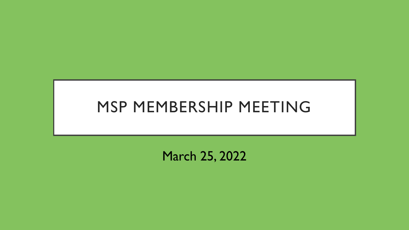# MSP MEMBERSHIP MEETING

March 25, 2022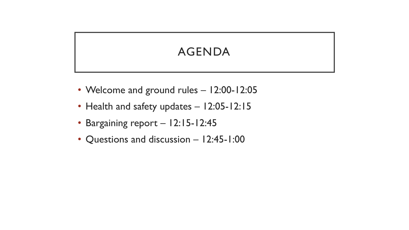#### AGENDA

- Welcome and ground rules 12:00-12:05
- Health and safety updates 12:05-12:15
- Bargaining report 12:15-12:45
- Questions and discussion 12:45-1:00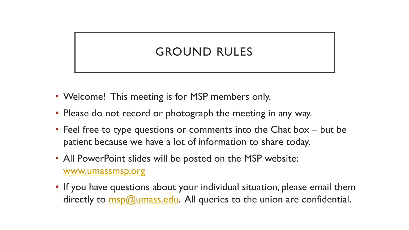#### GROUND RULES

- Welcome! This meeting is for MSP members only.
- Please do not record or photograph the meeting in any way.
- Feel free to type questions or comments into the Chat box but be patient because we have a lot of information to share today.
- All PowerPoint slides will be posted on the MSP website: [www.umassmsp.org](http://www.umassmsp.org/)
- If you have questions about your individual situation, please email them directly to  $msp@umass.edu$ . All queries to the union are confidential.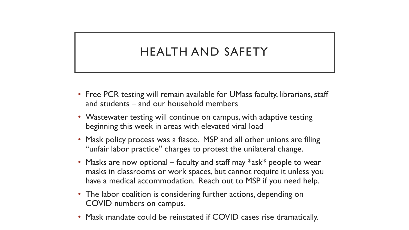#### HEALTH AND SAFETY

- Free PCR testing will remain available for UMass faculty, librarians, staff and students – and our household members
- Wastewater testing will continue on campus, with adaptive testing beginning this week in areas with elevated viral load
- Mask policy process was a fiasco. MSP and all other unions are filing "unfair labor practice" charges to protest the unilateral change.
- Masks are now optional faculty and staff may  $*$ ask $*$  people to wear masks in classrooms or work spaces, but cannot require it unless you have a medical accommodation. Reach out to MSP if you need help.
- The labor coalition is considering further actions, depending on COVID numbers on campus.
- Mask mandate could be reinstated if COVID cases rise dramatically.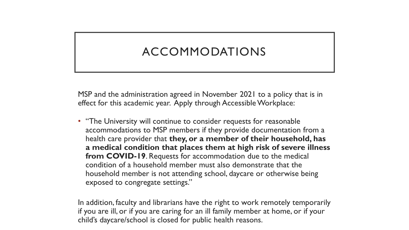#### ACCOMMODATIONS

MSP and the administration agreed in November 2021 to a policy that is in effect for this academic year. Apply through Accessible Workplace:

• "The University will continue to consider requests for reasonable accommodations to MSP members if they provide documentation from a health care provider that **they, or a member of their household, has a medical condition that places them at high risk of severe illness from COVID-19**. Requests for accommodation due to the medical condition of a household member must also demonstrate that the household member is not attending school, daycare or otherwise being exposed to congregate settings."

In addition, faculty and librarians have the right to work remotely temporarily if you are ill, or if you are caring for an ill family member at home, or if your child's daycare/school is closed for public health reasons.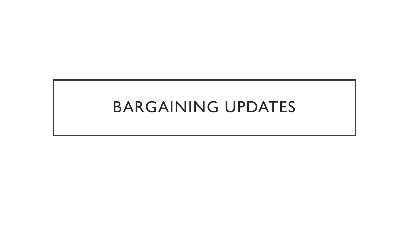## BARGAINING UPDATES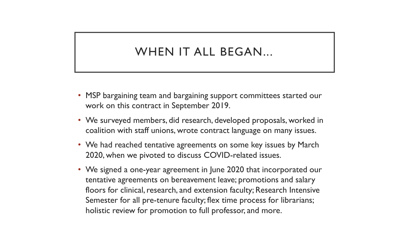#### WHEN IT ALL BEGAN...

- MSP bargaining team and bargaining support committees started our work on this contract in September 2019.
- We surveyed members, did research, developed proposals, worked in coalition with staff unions, wrote contract language on many issues.
- We had reached tentative agreements on some key issues by March 2020, when we pivoted to discuss COVID-related issues.
- We signed a one-year agreement in June 2020 that incorporated our tentative agreements on bereavement leave; promotions and salary floors for clinical, research, and extension faculty; Research Intensive Semester for all pre-tenure faculty; flex time process for librarians; holistic review for promotion to full professor, and more.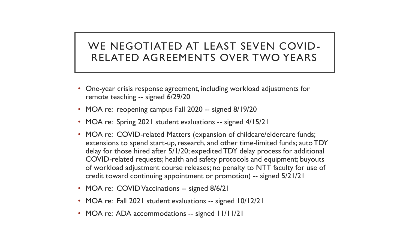#### WE NEGOTIATED AT LEAST SEVEN COVID-RELATED AGREEMENTS OVER TWO YEARS

- One-year crisis response agreement, including workload adjustments for remote teaching -- signed 6/29/20
- MOA re: reopening campus Fall 2020 -- signed 8/19/20
- MOA re: Spring 2021 student evaluations -- signed 4/15/21
- MOA re: COVID-related Matters (expansion of childcare/eldercare funds; extensions to spend start-up, research, and other time-limited funds; auto TDY delay for those hired after 5/1/20; expedited TDY delay process for additional COVID-related requests; health and safety protocols and equipment; buyouts of workload adjustment course releases; no penalty to NTT faculty for use of credit toward continuing appointment or promotion) -- signed 5/21/21
- MOA re: COVID Vaccinations -- signed 8/6/21
- MOA re: Fall 2021 student evaluations -- signed 10/12/21
- MOA re: ADA accommodations -- signed 11/11/21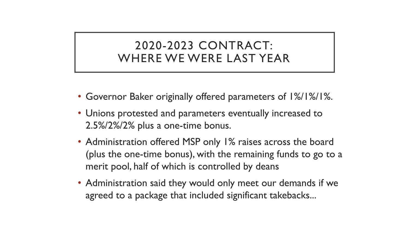#### 2020-2023 CONTRACT: WHERE WE WERE LAST YEAR

- Governor Baker originally offered parameters of 1%/1%/1%.
- Unions protested and parameters eventually increased to 2.5%/2%/2% plus a one-time bonus.
- Administration offered MSP only 1% raises across the board (plus the one-time bonus), with the remaining funds to go to a merit pool, half of which is controlled by deans
- Administration said they would only meet our demands if we agreed to a package that included significant takebacks...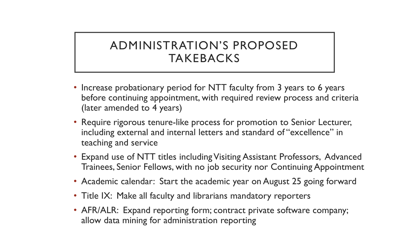#### ADMINISTRATION'S PROPOSED TAKEBACKS

- Increase probationary period for NTT faculty from 3 years to 6 years before continuing appointment, with required review process and criteria (later amended to 4 years)
- Require rigorous tenure-like process for promotion to Senior Lecturer, including external and internal letters and standard of "excellence" in teaching and service
- Expand use of NTT titles including Visiting Assistant Professors, Advanced Trainees, Senior Fellows, with no job security nor Continuing Appointment
- Academic calendar: Start the academic year on August 25 going forward
- Title IX: Make all faculty and librarians mandatory reporters
- AFR/ALR: Expand reporting form; contract private software company; allow data mining for administration reporting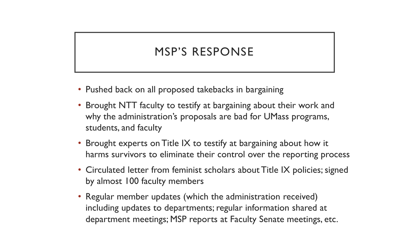#### MSP'S RESPONSE

- Pushed back on all proposed takebacks in bargaining
- Brought NTT faculty to testify at bargaining about their work and why the administration's proposals are bad for UMass programs, students, and faculty
- Brought experts on Title IX to testify at bargaining about how it harms survivors to eliminate their control over the reporting process
- Circulated letter from feminist scholars about Title IX policies; signed by almost 100 faculty members
- Regular member updates (which the administration received) including updates to departments; regular information shared at department meetings; MSP reports at Faculty Senate meetings, etc.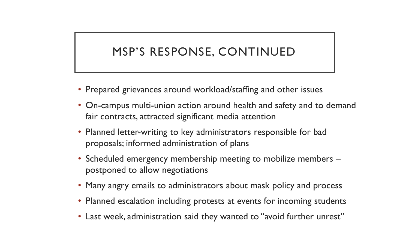#### MSP'S RESPONSE, CONTINUED

- Prepared grievances around workload/staffing and other issues
- On-campus multi-union action around health and safety and to demand fair contracts, attracted significant media attention
- Planned letter-writing to key administrators responsible for bad proposals; informed administration of plans
- Scheduled emergency membership meeting to mobilize members postponed to allow negotiations
- Many angry emails to administrators about mask policy and process
- Planned escalation including protests at events for incoming students
- Last week, administration said they wanted to "avoid further unrest"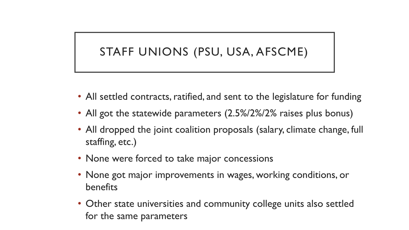#### STAFF UNIONS (PSU, USA, AFSCME)

- All settled contracts, ratified, and sent to the legislature for funding
- All got the statewide parameters (2.5%/2%/2% raises plus bonus)
- All dropped the joint coalition proposals (salary, climate change, full staffing, etc.)
- None were forced to take major concessions
- None got major improvements in wages, working conditions, or benefits
- Other state universities and community college units also settled for the same parameters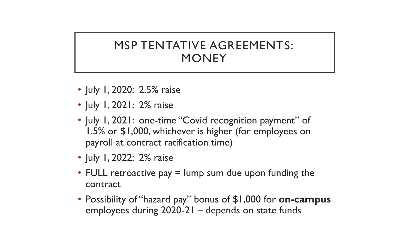#### MSP TENTATIVE AGREEMENTS: **MONEY**

- July 1, 2020: 2.5% raise
- July 1, 2021: 2% raise
- July 1, 2021: one-time "Covid recognition payment" of 1.5% or \$1,000, whichever is higher (for employees on payroll at contract ratification time)
- July 1, 2022: 2% raise
- FULL retroactive pay  $=$  lump sum due upon funding the contract
- Possibility of "hazard pay" bonus of \$1,000 for **on-campus** employees during 2020-21 – depends on state funds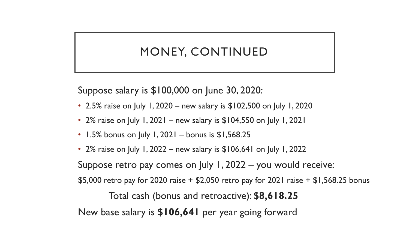#### MONEY, CONTINUED

Suppose salary is \$100,000 on June 30, 2020:

- 2.5% raise on July 1, 2020 new salary is \$102,500 on July 1, 2020
- 2% raise on July 1, 2021 new salary is \$104,550 on July 1, 2021
- 1.5% bonus on July 1, 2021 bonus is  $$1,568.25$
- 2% raise on July 1, 2022 new salary is \$106,641 on July 1, 2022

Suppose retro pay comes on July 1, 2022 – you would receive:

\$5,000 retro pay for 2020 raise + \$2,050 retro pay for 2021 raise + \$1,568.25 bonus

Total cash (bonus and retroactive): **\$8,618.25**

New base salary is **\$106,641** per year going forward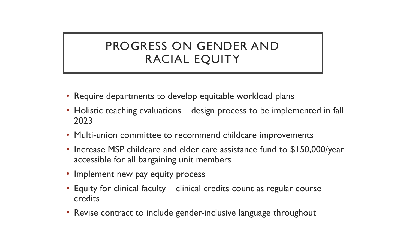#### PROGRESS ON GENDER AND RACIAL EQUITY

- Require departments to develop equitable workload plans
- Holistic teaching evaluations design process to be implemented in fall 2023
- Multi-union committee to recommend childcare improvements
- Increase MSP childcare and elder care assistance fund to \$150,000/year accessible for all bargaining unit members
- Implement new pay equity process
- Equity for clinical faculty clinical credits count as regular course credits
- Revise contract to include gender-inclusive language throughout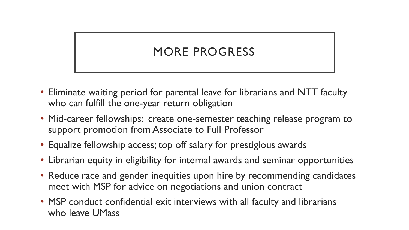### MORE PROGRESS

- Eliminate waiting period for parental leave for librarians and NTT faculty who can fulfill the one-year return obligation
- Mid-career fellowships: create one-semester teaching release program to support promotion from Associate to Full Professor
- Equalize fellowship access; top off salary for prestigious awards
- Librarian equity in eligibility for internal awards and seminar opportunities
- Reduce race and gender inequities upon hire by recommending candidates meet with MSP for advice on negotiations and union contract
- MSP conduct confidential exit interviews with all faculty and librarians who leave UMass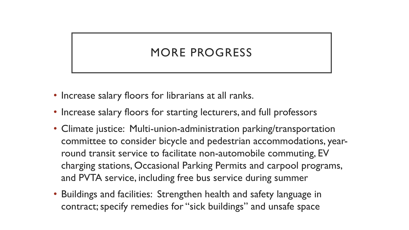#### MORE PROGRESS

- Increase salary floors for librarians at all ranks.
- Increase salary floors for starting lecturers, and full professors
- Climate justice: Multi-union-administration parking/transportation committee to consider bicycle and pedestrian accommodations, yearround transit service to facilitate non-automobile commuting, EV charging stations, Occasional Parking Permits and carpool programs, and PVTA service, including free bus service during summer
- Buildings and facilities: Strengthen health and safety language in contract; specify remedies for "sick buildings" and unsafe space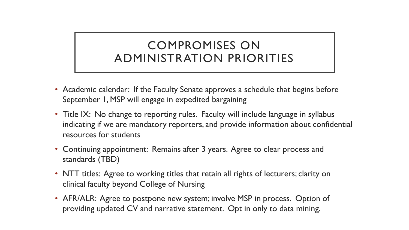#### COMPROMISES ON ADMINISTRATION PRIORITIES

- Academic calendar: If the Faculty Senate approves a schedule that begins before September 1, MSP will engage in expedited bargaining
- Title IX: No change to reporting rules. Faculty will include language in syllabus indicating if we are mandatory reporters, and provide information about confidential resources for students
- Continuing appointment: Remains after 3 years. Agree to clear process and standards (TBD)
- NTT titles: Agree to working titles that retain all rights of lecturers; clarity on clinical faculty beyond College of Nursing
- AFR/ALR: Agree to postpone new system; involve MSP in process. Option of providing updated CV and narrative statement. Opt in only to data mining.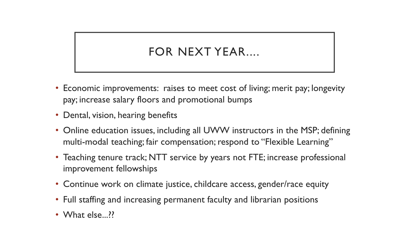#### FOR NEXT YEAR....

- Economic improvements: raises to meet cost of living; merit pay; longevity pay; increase salary floors and promotional bumps
- Dental, vision, hearing benefits
- Online education issues, including all UWW instructors in the MSP; defining multi-modal teaching; fair compensation; respond to "Flexible Learning"
- Teaching tenure track; NTT service by years not FTE; increase professional improvement fellowships
- Continue work on climate justice, childcare access, gender/race equity
- Full staffing and increasing permanent faculty and librarian positions
- What else...??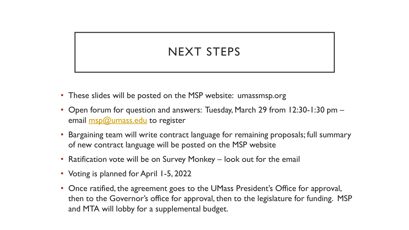#### NEXT STEPS

- These slides will be posted on the MSP website: umassmsp.org
- Open forum for question and answers: Tuesday, March 29 from 12:30-1:30 pm email **msp@umass.edu** to register
- Bargaining team will write contract language for remaining proposals; full summary of new contract language will be posted on the MSP website
- Ratification vote will be on Survey Monkey look out for the email
- Voting is planned for April 1-5, 2022
- Once ratified, the agreement goes to the UMass President's Office for approval, then to the Governor's office for approval, then to the legislature for funding. MSP and MTA will lobby for a supplemental budget.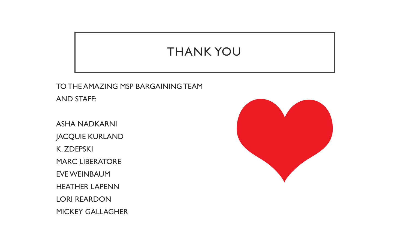#### THANK YOU

TO THE AMAZING MSP BARGAINING TEAM AND STAFF:

ASHA NADKARNI JACQUIE KURLAND K. ZDEPSKI MARC LIBERATORE EVE WEINBAUM HEATHER LAPENN LORI REARDON MICKEY GALLAGHER